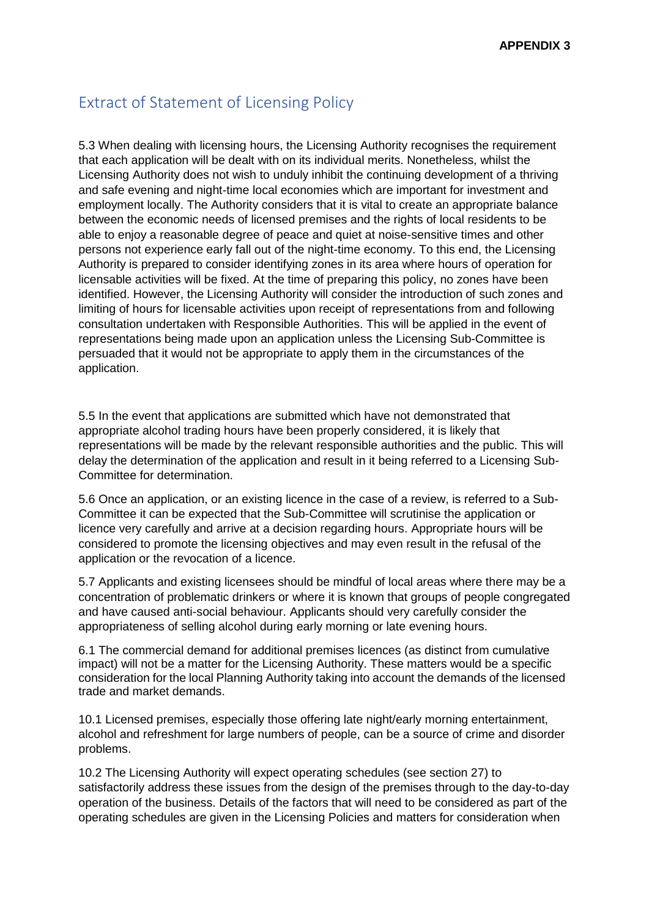## Extract of Statement of Licensing Policy

5.3 When dealing with licensing hours, the Licensing Authority recognises the requirement that each application will be dealt with on its individual merits. Nonetheless, whilst the Licensing Authority does not wish to unduly inhibit the continuing development of a thriving and safe evening and night-time local economies which are important for investment and employment locally. The Authority considers that it is vital to create an appropriate balance between the economic needs of licensed premises and the rights of local residents to be able to enjoy a reasonable degree of peace and quiet at noise-sensitive times and other persons not experience early fall out of the night-time economy. To this end, the Licensing Authority is prepared to consider identifying zones in its area where hours of operation for licensable activities will be fixed. At the time of preparing this policy, no zones have been identified. However, the Licensing Authority will consider the introduction of such zones and limiting of hours for licensable activities upon receipt of representations from and following consultation undertaken with Responsible Authorities. This will be applied in the event of representations being made upon an application unless the Licensing Sub-Committee is persuaded that it would not be appropriate to apply them in the circumstances of the application.

5.5 In the event that applications are submitted which have not demonstrated that appropriate alcohol trading hours have been properly considered, it is likely that representations will be made by the relevant responsible authorities and the public. This will delay the determination of the application and result in it being referred to a Licensing Sub-Committee for determination.

5.6 Once an application, or an existing licence in the case of a review, is referred to a Sub-Committee it can be expected that the Sub-Committee will scrutinise the application or licence very carefully and arrive at a decision regarding hours. Appropriate hours will be considered to promote the licensing objectives and may even result in the refusal of the application or the revocation of a licence.

5.7 Applicants and existing licensees should be mindful of local areas where there may be a concentration of problematic drinkers or where it is known that groups of people congregated and have caused anti-social behaviour. Applicants should very carefully consider the appropriateness of selling alcohol during early morning or late evening hours.

6.1 The commercial demand for additional premises licences (as distinct from cumulative impact) will not be a matter for the Licensing Authority. These matters would be a specific consideration for the local Planning Authority taking into account the demands of the licensed trade and market demands.

10.1 Licensed premises, especially those offering late night/early morning entertainment, alcohol and refreshment for large numbers of people, can be a source of crime and disorder problems.

10.2 The Licensing Authority will expect operating schedules (see section 27) to satisfactorily address these issues from the design of the premises through to the day-to-day operation of the business. Details of the factors that will need to be considered as part of the operating schedules are given in the Licensing Policies and matters for consideration when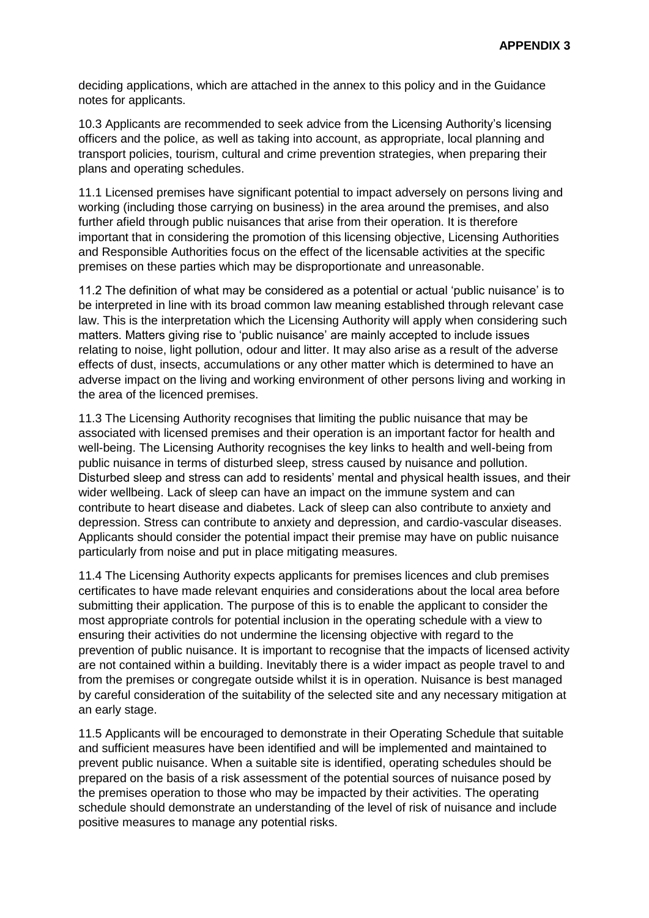deciding applications, which are attached in the annex to this policy and in the Guidance notes for applicants.

10.3 Applicants are recommended to seek advice from the Licensing Authority's licensing officers and the police, as well as taking into account, as appropriate, local planning and transport policies, tourism, cultural and crime prevention strategies, when preparing their plans and operating schedules.

11.1 Licensed premises have significant potential to impact adversely on persons living and working (including those carrying on business) in the area around the premises, and also further afield through public nuisances that arise from their operation. It is therefore important that in considering the promotion of this licensing objective, Licensing Authorities and Responsible Authorities focus on the effect of the licensable activities at the specific premises on these parties which may be disproportionate and unreasonable.

11.2 The definition of what may be considered as a potential or actual 'public nuisance' is to be interpreted in line with its broad common law meaning established through relevant case law. This is the interpretation which the Licensing Authority will apply when considering such matters. Matters giving rise to 'public nuisance' are mainly accepted to include issues relating to noise, light pollution, odour and litter. It may also arise as a result of the adverse effects of dust, insects, accumulations or any other matter which is determined to have an adverse impact on the living and working environment of other persons living and working in the area of the licenced premises.

11.3 The Licensing Authority recognises that limiting the public nuisance that may be associated with licensed premises and their operation is an important factor for health and well-being. The Licensing Authority recognises the key links to health and well-being from public nuisance in terms of disturbed sleep, stress caused by nuisance and pollution. Disturbed sleep and stress can add to residents' mental and physical health issues, and their wider wellbeing. Lack of sleep can have an impact on the immune system and can contribute to heart disease and diabetes. Lack of sleep can also contribute to anxiety and depression. Stress can contribute to anxiety and depression, and cardio-vascular diseases. Applicants should consider the potential impact their premise may have on public nuisance particularly from noise and put in place mitigating measures.

11.4 The Licensing Authority expects applicants for premises licences and club premises certificates to have made relevant enquiries and considerations about the local area before submitting their application. The purpose of this is to enable the applicant to consider the most appropriate controls for potential inclusion in the operating schedule with a view to ensuring their activities do not undermine the licensing objective with regard to the prevention of public nuisance. It is important to recognise that the impacts of licensed activity are not contained within a building. Inevitably there is a wider impact as people travel to and from the premises or congregate outside whilst it is in operation. Nuisance is best managed by careful consideration of the suitability of the selected site and any necessary mitigation at an early stage.

11.5 Applicants will be encouraged to demonstrate in their Operating Schedule that suitable and sufficient measures have been identified and will be implemented and maintained to prevent public nuisance. When a suitable site is identified, operating schedules should be prepared on the basis of a risk assessment of the potential sources of nuisance posed by the premises operation to those who may be impacted by their activities. The operating schedule should demonstrate an understanding of the level of risk of nuisance and include positive measures to manage any potential risks.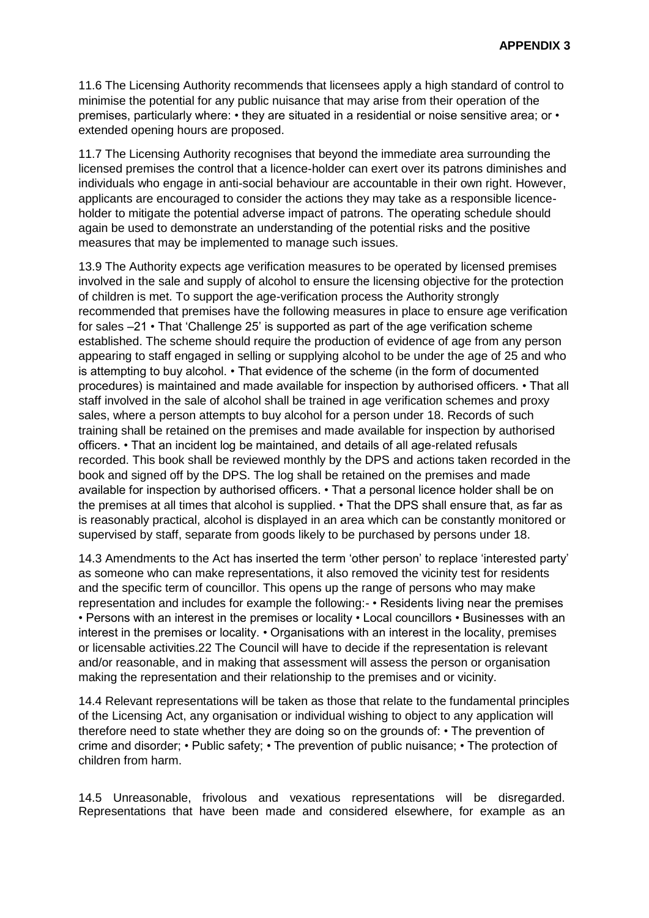11.6 The Licensing Authority recommends that licensees apply a high standard of control to minimise the potential for any public nuisance that may arise from their operation of the premises, particularly where: • they are situated in a residential or noise sensitive area; or • extended opening hours are proposed.

11.7 The Licensing Authority recognises that beyond the immediate area surrounding the licensed premises the control that a licence-holder can exert over its patrons diminishes and individuals who engage in anti-social behaviour are accountable in their own right. However, applicants are encouraged to consider the actions they may take as a responsible licenceholder to mitigate the potential adverse impact of patrons. The operating schedule should again be used to demonstrate an understanding of the potential risks and the positive measures that may be implemented to manage such issues.

13.9 The Authority expects age verification measures to be operated by licensed premises involved in the sale and supply of alcohol to ensure the licensing objective for the protection of children is met. To support the age-verification process the Authority strongly recommended that premises have the following measures in place to ensure age verification for sales –21 • That 'Challenge 25' is supported as part of the age verification scheme established. The scheme should require the production of evidence of age from any person appearing to staff engaged in selling or supplying alcohol to be under the age of 25 and who is attempting to buy alcohol. • That evidence of the scheme (in the form of documented procedures) is maintained and made available for inspection by authorised officers. • That all staff involved in the sale of alcohol shall be trained in age verification schemes and proxy sales, where a person attempts to buy alcohol for a person under 18. Records of such training shall be retained on the premises and made available for inspection by authorised officers. • That an incident log be maintained, and details of all age-related refusals recorded. This book shall be reviewed monthly by the DPS and actions taken recorded in the book and signed off by the DPS. The log shall be retained on the premises and made available for inspection by authorised officers. • That a personal licence holder shall be on the premises at all times that alcohol is supplied. • That the DPS shall ensure that, as far as is reasonably practical, alcohol is displayed in an area which can be constantly monitored or supervised by staff, separate from goods likely to be purchased by persons under 18.

14.3 Amendments to the Act has inserted the term 'other person' to replace 'interested party' as someone who can make representations, it also removed the vicinity test for residents and the specific term of councillor. This opens up the range of persons who may make representation and includes for example the following:- • Residents living near the premises • Persons with an interest in the premises or locality • Local councillors • Businesses with an interest in the premises or locality. • Organisations with an interest in the locality, premises or licensable activities.22 The Council will have to decide if the representation is relevant and/or reasonable, and in making that assessment will assess the person or organisation making the representation and their relationship to the premises and or vicinity.

14.4 Relevant representations will be taken as those that relate to the fundamental principles of the Licensing Act, any organisation or individual wishing to object to any application will therefore need to state whether they are doing so on the grounds of: • The prevention of crime and disorder; • Public safety; • The prevention of public nuisance; • The protection of children from harm.

14.5 Unreasonable, frivolous and vexatious representations will be disregarded. Representations that have been made and considered elsewhere, for example as an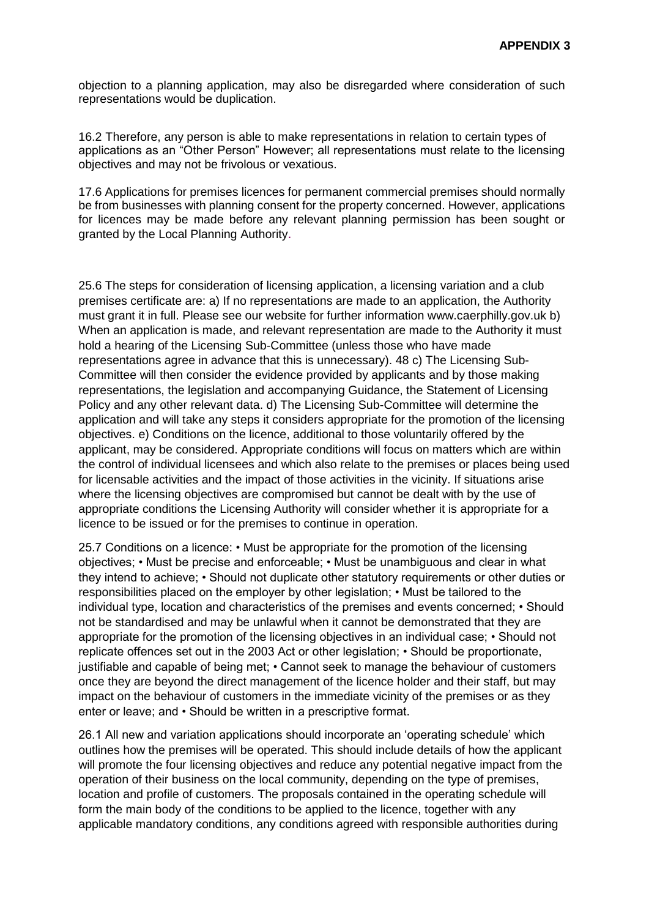objection to a planning application, may also be disregarded where consideration of such representations would be duplication.

16.2 Therefore, any person is able to make representations in relation to certain types of applications as an "Other Person" However; all representations must relate to the licensing objectives and may not be frivolous or vexatious.

17.6 Applications for premises licences for permanent commercial premises should normally be from businesses with planning consent for the property concerned. However, applications for licences may be made before any relevant planning permission has been sought or granted by the Local Planning Authority.

25.6 The steps for consideration of licensing application, a licensing variation and a club premises certificate are: a) If no representations are made to an application, the Authority must grant it in full. Please see our website for further information www.caerphilly.gov.uk b) When an application is made, and relevant representation are made to the Authority it must hold a hearing of the Licensing Sub-Committee (unless those who have made representations agree in advance that this is unnecessary). 48 c) The Licensing Sub-Committee will then consider the evidence provided by applicants and by those making representations, the legislation and accompanying Guidance, the Statement of Licensing Policy and any other relevant data. d) The Licensing Sub-Committee will determine the application and will take any steps it considers appropriate for the promotion of the licensing objectives. e) Conditions on the licence, additional to those voluntarily offered by the applicant, may be considered. Appropriate conditions will focus on matters which are within the control of individual licensees and which also relate to the premises or places being used for licensable activities and the impact of those activities in the vicinity. If situations arise where the licensing objectives are compromised but cannot be dealt with by the use of appropriate conditions the Licensing Authority will consider whether it is appropriate for a licence to be issued or for the premises to continue in operation.

25.7 Conditions on a licence: • Must be appropriate for the promotion of the licensing objectives; • Must be precise and enforceable; • Must be unambiguous and clear in what they intend to achieve; • Should not duplicate other statutory requirements or other duties or responsibilities placed on the employer by other legislation; • Must be tailored to the individual type, location and characteristics of the premises and events concerned; • Should not be standardised and may be unlawful when it cannot be demonstrated that they are appropriate for the promotion of the licensing objectives in an individual case; • Should not replicate offences set out in the 2003 Act or other legislation; • Should be proportionate, justifiable and capable of being met; • Cannot seek to manage the behaviour of customers once they are beyond the direct management of the licence holder and their staff, but may impact on the behaviour of customers in the immediate vicinity of the premises or as they enter or leave; and • Should be written in a prescriptive format.

26.1 All new and variation applications should incorporate an 'operating schedule' which outlines how the premises will be operated. This should include details of how the applicant will promote the four licensing objectives and reduce any potential negative impact from the operation of their business on the local community, depending on the type of premises, location and profile of customers. The proposals contained in the operating schedule will form the main body of the conditions to be applied to the licence, together with any applicable mandatory conditions, any conditions agreed with responsible authorities during